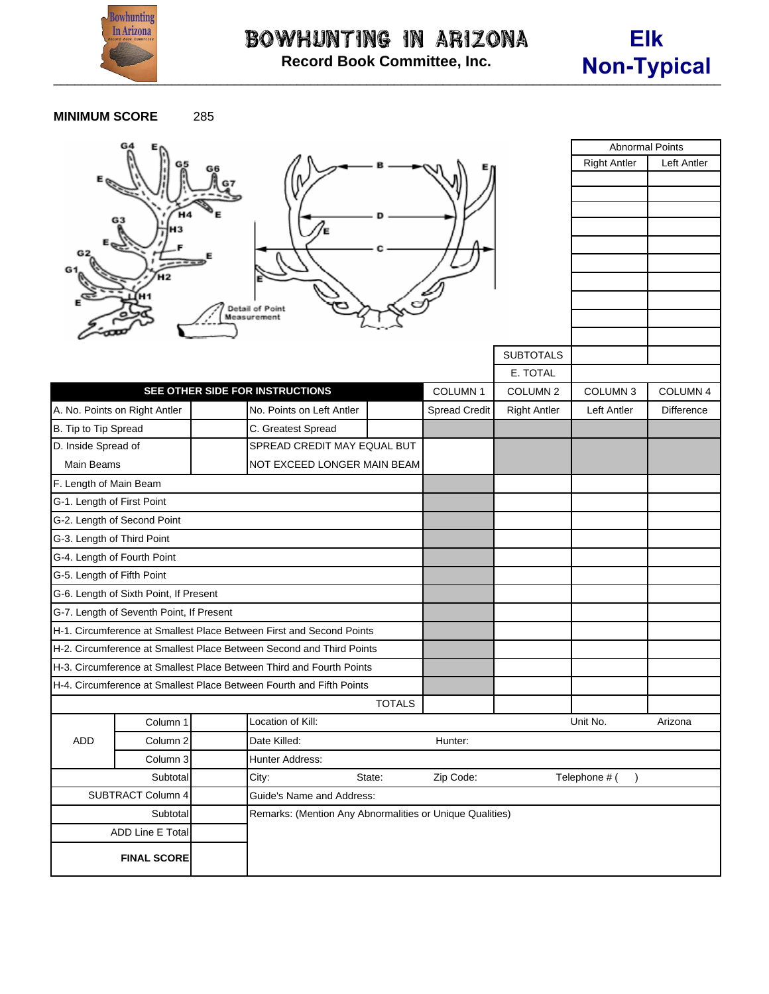

Bowhunting in Arizona **Record Book Committee, Inc.**



**MINIMUM SCORE** 285

|                                                                      |                                |                                                          |                                                                      |               |                      |                     | <b>Abnormal Points</b> |             |
|----------------------------------------------------------------------|--------------------------------|----------------------------------------------------------|----------------------------------------------------------------------|---------------|----------------------|---------------------|------------------------|-------------|
|                                                                      |                                |                                                          |                                                                      |               |                      |                     | <b>Right Antler</b>    | Left Antler |
|                                                                      |                                |                                                          |                                                                      |               |                      |                     |                        |             |
|                                                                      |                                |                                                          |                                                                      |               |                      |                     |                        |             |
|                                                                      | G3                             |                                                          |                                                                      |               |                      |                     |                        |             |
|                                                                      |                                |                                                          |                                                                      |               |                      |                     |                        |             |
|                                                                      |                                |                                                          |                                                                      |               |                      |                     |                        |             |
|                                                                      |                                |                                                          |                                                                      |               |                      |                     |                        |             |
|                                                                      |                                |                                                          |                                                                      |               |                      |                     |                        |             |
|                                                                      | Detail of Point<br>Measurement |                                                          |                                                                      |               |                      |                     |                        |             |
|                                                                      |                                |                                                          |                                                                      |               |                      |                     |                        |             |
|                                                                      |                                |                                                          |                                                                      |               |                      | <b>SUBTOTALS</b>    |                        |             |
|                                                                      |                                |                                                          |                                                                      |               |                      | E. TOTAL            |                        |             |
|                                                                      |                                |                                                          | SEE OTHER SIDE FOR INSTRUCTIONS                                      |               | COLUMN <sub>1</sub>  | COLUMN <sub>2</sub> | COLUMN <sub>3</sub>    | COLUMN 4    |
|                                                                      | A. No. Points on Right Antler  |                                                          | No. Points on Left Antler                                            |               | <b>Spread Credit</b> | <b>Right Antler</b> | Left Antler            | Difference  |
| B. Tip to Tip Spread                                                 |                                |                                                          | C. Greatest Spread                                                   |               |                      |                     |                        |             |
| D. Inside Spread of                                                  |                                |                                                          | SPREAD CREDIT MAY EQUAL BUT                                          |               |                      |                     |                        |             |
| <b>Main Beams</b>                                                    |                                |                                                          | NOT EXCEED LONGER MAIN BEAM                                          |               |                      |                     |                        |             |
| F. Length of Main Beam                                               |                                |                                                          |                                                                      |               |                      |                     |                        |             |
| G-1. Length of First Point                                           |                                |                                                          |                                                                      |               |                      |                     |                        |             |
| G-2. Length of Second Point                                          |                                |                                                          |                                                                      |               |                      |                     |                        |             |
| G-3. Length of Third Point                                           |                                |                                                          |                                                                      |               |                      |                     |                        |             |
| G-4. Length of Fourth Point                                          |                                |                                                          |                                                                      |               |                      |                     |                        |             |
| G-5. Length of Fifth Point                                           |                                |                                                          |                                                                      |               |                      |                     |                        |             |
| G-6. Length of Sixth Point, If Present                               |                                |                                                          |                                                                      |               |                      |                     |                        |             |
| G-7. Length of Seventh Point, If Present                             |                                |                                                          |                                                                      |               |                      |                     |                        |             |
| H-1. Circumference at Smallest Place Between First and Second Points |                                |                                                          |                                                                      |               |                      |                     |                        |             |
|                                                                      |                                |                                                          | H-2. Circumference at Smallest Place Between Second and Third Points |               |                      |                     |                        |             |
| H-3. Circumference at Smallest Place Between Third and Fourth Points |                                |                                                          |                                                                      |               |                      |                     |                        |             |
| H-4. Circumference at Smallest Place Between Fourth and Fifth Points |                                |                                                          |                                                                      |               |                      |                     |                        |             |
|                                                                      |                                |                                                          |                                                                      | <b>TOTALS</b> |                      |                     |                        |             |
| ADD                                                                  | Column 1                       |                                                          | Location of Kill:                                                    |               |                      |                     | Unit No.               | Arizona     |
|                                                                      | Column 2                       |                                                          | Date Killed:                                                         | Hunter:       |                      |                     |                        |             |
|                                                                      | Column 3                       |                                                          | Hunter Address:                                                      |               |                      |                     |                        |             |
| Subtotal                                                             |                                |                                                          | Zip Code:<br>City:<br>State:                                         |               | Telephone # (        |                     |                        |             |
| <b>SUBTRACT Column 4</b>                                             |                                | Guide's Name and Address:                                |                                                                      |               |                      |                     |                        |             |
| Subtotal                                                             |                                | Remarks: (Mention Any Abnormalities or Unique Qualities) |                                                                      |               |                      |                     |                        |             |
| <b>ADD Line E Total</b>                                              |                                |                                                          |                                                                      |               |                      |                     |                        |             |
| <b>FINAL SCORE</b>                                                   |                                |                                                          |                                                                      |               |                      |                     |                        |             |